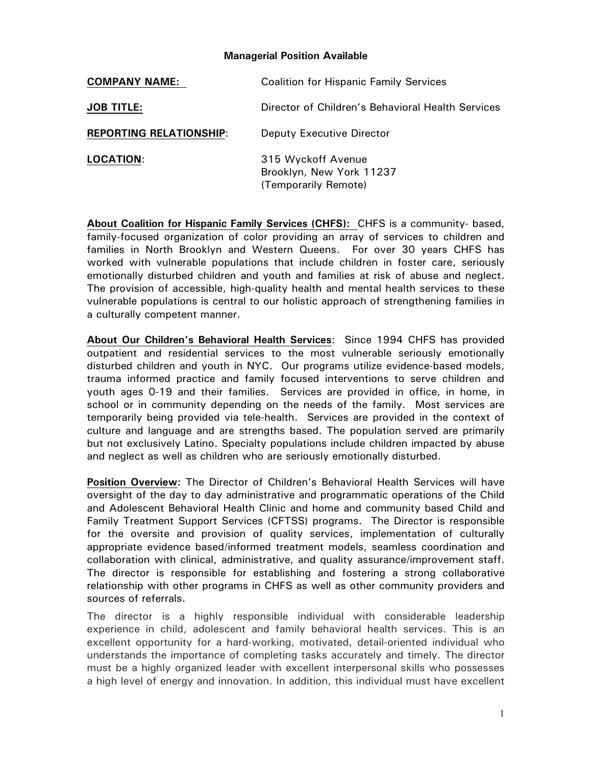## **Managerial Position Available**

| <b>COMPANY NAME:</b>           | <b>Coalition for Hispanic Family Services</b>                          |
|--------------------------------|------------------------------------------------------------------------|
| <b>JOB TITLE:</b>              | Director of Children's Behavioral Health Services                      |
| <b>REPORTING RELATIONSHIP:</b> | <b>Deputy Executive Director</b>                                       |
| <b>LOCATION:</b>               | 315 Wyckoff Avenue<br>Brooklyn, New York 11237<br>(Temporarily Remote) |

**About Coalition for Hispanic Family Services (CHFS):** CHFS is a community- based, family-focused organization of color providing an array of services to children and families in North Brooklyn and Western Queens. For over 30 years CHFS has worked with vulnerable populations that include children in foster care, seriously emotionally disturbed children and youth and families at risk of abuse and neglect. The provision of accessible, high-quality health and mental health services to these vulnerable populations is central to our holistic approach of strengthening families in a culturally competent manner.

**About Our Children's Behavioral Health Services**: Since 1994 CHFS has provided outpatient and residential services to the most vulnerable seriously emotionally disturbed children and youth in NYC. Our programs utilize evidence-based models, trauma informed practice and family focused interventions to serve children and youth ages 0-19 and their families. Services are provided in office, in home, in school or in community depending on the needs of the family. Most services are temporarily being provided via tele-health. Services are provided in the context of culture and language and are strengths based. The population served are primarily but not exclusively Latino. Specialty populations include children impacted by abuse and neglect as well as children who are seriously emotionally disturbed.

**Position Overview:** The Director of Children's Behavioral Health Services will have oversight of the day to day administrative and programmatic operations of the Child and Adolescent Behavioral Health Clinic and home and community based Child and Family Treatment Support Services (CFTSS) programs. The Director is responsible for the oversite and provision of quality services, implementation of culturally appropriate evidence based/informed treatment models, seamless coordination and collaboration with clinical, administrative, and quality assurance/improvement staff. The director is responsible for establishing and fostering a strong collaborative relationship with other programs in CHFS as well as other community providers and sources of referrals.

The director is a highly responsible individual with considerable leadership experience in child, adolescent and family behavioral health services. This is an excellent opportunity for a hard-working, motivated, detail-oriented individual who understands the importance of completing tasks accurately and timely. The director must be a highly organized leader with excellent interpersonal skills who possesses a high level of energy and innovation. In addition, this individual must have excellent